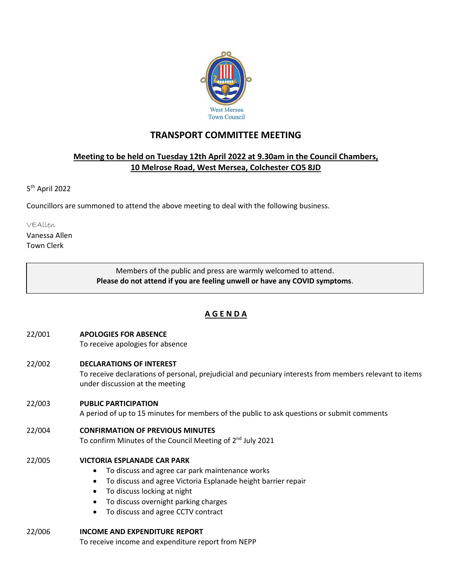

# **TRANSPORT COMMITTEE MEETING**

## **Meeting to be held on Tuesday 12th April 2022 at 9.30am in the Council Chambers, 10 Melrose Road, West Mersea, Colchester CO5 8JD**

5<sup>th</sup> April 2022

Councillors are summoned to attend the above meeting to deal with the following business.

VEAllen

Vanessa Allen Town Clerk

> Members of the public and press are warmly welcomed to attend. **Please do not attend if you are feeling unwell or have any COVID symptoms**.

## **A G E N D A**

- 22/001 **APOLOGIES FOR ABSENCE**
	- To receive apologies for absence
- 22/002 **DECLARATIONS OF INTEREST**

To receive declarations of personal, prejudicial and pecuniary interests from members relevant to items under discussion at the meeting

### 22/003 **PUBLIC PARTICIPATION**

A period of up to 15 minutes for members of the public to ask questions or submit comments

22/004 **CONFIRMATION OF PREVIOUS MINUTES** To confirm Minutes of the Council Meeting of 2<sup>nd</sup> July 2021

- 22/005 **VICTORIA ESPLANADE CAR PARK**
	- To discuss and agree car park maintenance works
	- To discuss and agree Victoria Esplanade height barrier repair
	- To discuss locking at night
	- To discuss overnight parking charges
	- To discuss and agree CCTV contract
- 22/006 **INCOME AND EXPENDITURE REPORT** To receive income and expenditure report from NEPP